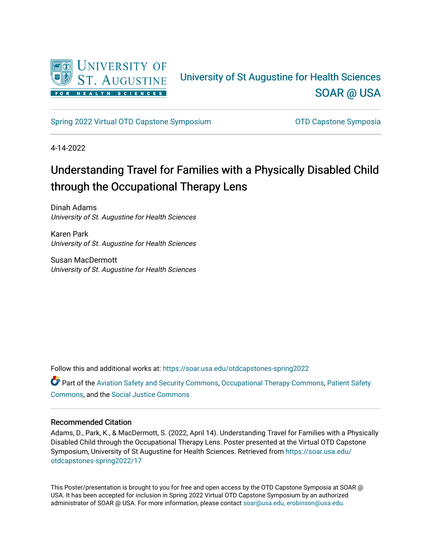

#### University of St Augustine for Health Sciences [SOAR @ USA](https://soar.usa.edu/)

[Spring 2022 Virtual OTD Capstone Symposium](https://soar.usa.edu/otdcapstones-spring2022) **Capstone Symposia** OTD Capstone Symposia

4-14-2022

### Understanding Travel for Families with a Physically Disabled Child through the Occupational Therapy Lens

Dinah Adams University of St. Augustine for Health Sciences

Karen Park University of St. Augustine for Health Sciences

Susan MacDermott University of St. Augustine for Health Sciences

Follow this and additional works at: [https://soar.usa.edu/otdcapstones-spring2022](https://soar.usa.edu/otdcapstones-spring2022?utm_source=soar.usa.edu%2Fotdcapstones-spring2022%2F17&utm_medium=PDF&utm_campaign=PDFCoverPages)

Part of the [Aviation Safety and Security Commons,](https://network.bepress.com/hgg/discipline/1320?utm_source=soar.usa.edu%2Fotdcapstones-spring2022%2F17&utm_medium=PDF&utm_campaign=PDFCoverPages) [Occupational Therapy Commons](https://network.bepress.com/hgg/discipline/752?utm_source=soar.usa.edu%2Fotdcapstones-spring2022%2F17&utm_medium=PDF&utm_campaign=PDFCoverPages), [Patient Safety](https://network.bepress.com/hgg/discipline/1410?utm_source=soar.usa.edu%2Fotdcapstones-spring2022%2F17&utm_medium=PDF&utm_campaign=PDFCoverPages)  [Commons](https://network.bepress.com/hgg/discipline/1410?utm_source=soar.usa.edu%2Fotdcapstones-spring2022%2F17&utm_medium=PDF&utm_campaign=PDFCoverPages), and the [Social Justice Commons](https://network.bepress.com/hgg/discipline/1432?utm_source=soar.usa.edu%2Fotdcapstones-spring2022%2F17&utm_medium=PDF&utm_campaign=PDFCoverPages) 

#### Recommended Citation

Adams, D., Park, K., & MacDermott, S. (2022, April 14). Understanding Travel for Families with a Physically Disabled Child through the Occupational Therapy Lens. Poster presented at the Virtual OTD Capstone Symposium, University of St Augustine for Health Sciences. Retrieved from [https://soar.usa.edu/](https://soar.usa.edu/otdcapstones-spring2022/17?utm_source=soar.usa.edu%2Fotdcapstones-spring2022%2F17&utm_medium=PDF&utm_campaign=PDFCoverPages) [otdcapstones-spring2022/17](https://soar.usa.edu/otdcapstones-spring2022/17?utm_source=soar.usa.edu%2Fotdcapstones-spring2022%2F17&utm_medium=PDF&utm_campaign=PDFCoverPages)

This Poster/presentation is brought to you for free and open access by the OTD Capstone Symposia at SOAR @ USA. It has been accepted for inclusion in Spring 2022 Virtual OTD Capstone Symposium by an authorized administrator of SOAR @ USA. For more information, please contact [soar@usa.edu, erobinson@usa.edu](mailto:soar@usa.edu,%20erobinson@usa.edu).